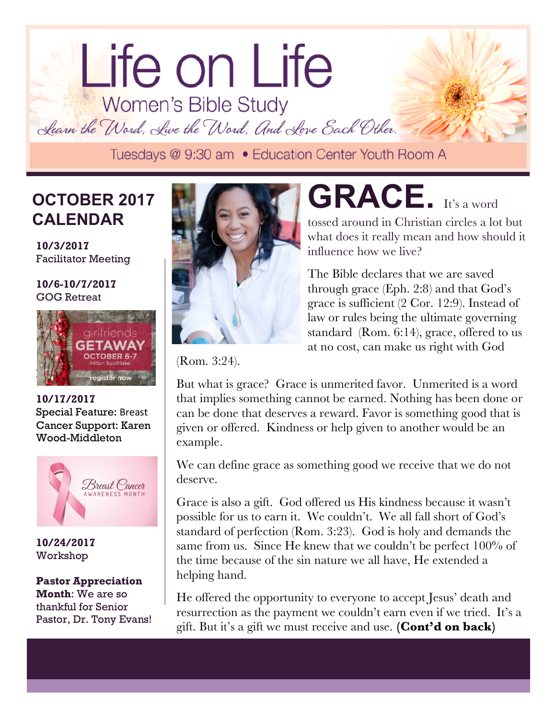# lorem ipsum dolor dolor sit amet. Life on Life<br>Women's Bible Study

Learn the Word, Live the Word, And Love Each Other.

# **CALENDAR OCTOBER 2017**

Facilitator Meeting **10/3/2017**

#### **10/6-10/7/2017**  GOG Retreat



**10/17/2017**  Special Feature: Breast Cancer Support: Karen Wood-Middleton



**10/24/2017** Workshop

#### **Pastor Appreciation Month**: We are so thankful for Senior Pastor, Dr. Tony Evans!



**GRACE.** It's a word

tossed around in Christian circles a lot but what does it really mean and how should it influence how we live?

The Bible declares that we are saved through grace (Eph. 2:8) and that God's grace is sufficient (2 Cor. 12:9). Instead of law or rules being the ultimate governing standard (Rom. 6:14), grace, offered to us at no cost, can make us right with God

(Rom. 3:24).

But what is grace? Grace is unmerited favor. Unmerited is a word that implies something cannot be earned. Nothing has been done or can be done that deserves a reward. Favor is something good that is given or offered. Kindness or help given to another would be an example.

We can define grace as something good we receive that we do not deserve.

Grace is also a gift. God offered us His kindness because it wasn't possible for us to earn it. We couldn't. We all fall short of God's standard of perfection (Rom. 3:23). God is holy and demands the same from us. Since He knew that we couldn't be perfect 100% of the time because of the sin nature we all have, He extended a helping hand.

He offered the opportunity to everyone to accept Jesus' death and resurrection as the payment we couldn't earn even if we tried. It's a gift. But it's a gift we must receive and use. **(Cont'd on back)**